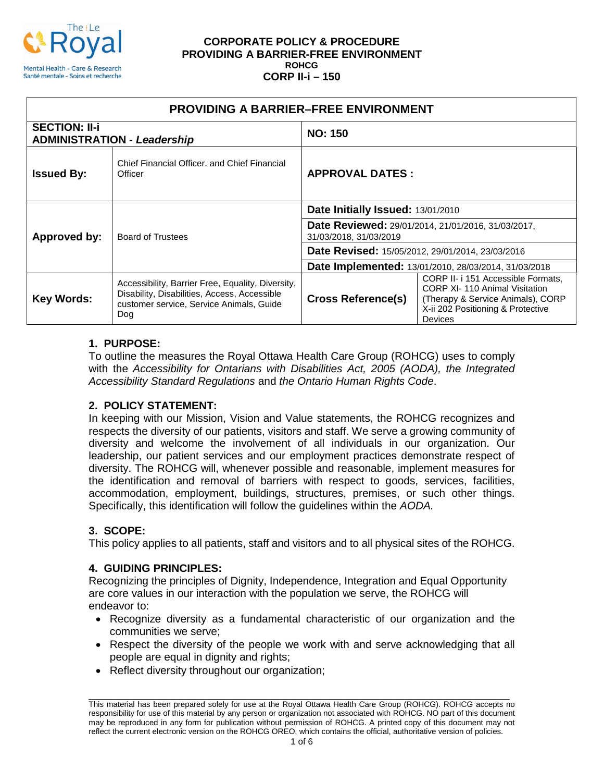

| <b>PROVIDING A BARRIER-FREE ENVIRONMENT</b>                |                                                                                                                                                      |                                                                              |                                                                                                                                                          |
|------------------------------------------------------------|------------------------------------------------------------------------------------------------------------------------------------------------------|------------------------------------------------------------------------------|----------------------------------------------------------------------------------------------------------------------------------------------------------|
| <b>SECTION: II-i</b><br><b>ADMINISTRATION - Leadership</b> |                                                                                                                                                      | <b>NO: 150</b>                                                               |                                                                                                                                                          |
| <b>Issued By:</b>                                          | Chief Financial Officer, and Chief Financial<br>Officer                                                                                              | <b>APPROVAL DATES:</b>                                                       |                                                                                                                                                          |
| Approved by:                                               | <b>Board of Trustees</b>                                                                                                                             | Date Initially Issued: 13/01/2010                                            |                                                                                                                                                          |
|                                                            |                                                                                                                                                      | Date Reviewed: 29/01/2014, 21/01/2016, 31/03/2017,<br>31/03/2018, 31/03/2019 |                                                                                                                                                          |
|                                                            |                                                                                                                                                      | Date Revised: 15/05/2012, 29/01/2014, 23/03/2016                             |                                                                                                                                                          |
|                                                            |                                                                                                                                                      | Date Implemented: 13/01/2010, 28/03/2014, 31/03/2018                         |                                                                                                                                                          |
| <b>Key Words:</b>                                          | Accessibility, Barrier Free, Equality, Diversity,<br>Disability, Disabilities, Access, Accessible<br>customer service, Service Animals, Guide<br>Dog | <b>Cross Reference(s)</b>                                                    | CORP II- i 151 Accessible Formats,<br>CORP XI-110 Animal Visitation<br>(Therapy & Service Animals), CORP<br>X-ii 202 Positioning & Protective<br>Devices |

# **1. PURPOSE:**

To outline the measures the Royal Ottawa Health Care Group (ROHCG) uses to comply with the *Accessibility for Ontarians with Disabilities Act, 2005 (AODA), the Integrated Accessibility Standard Regulations* and *the Ontario Human Rights Code*.

# **2. POLICY STATEMENT:**

In keeping with our Mission, Vision and Value statements, the ROHCG recognizes and respects the diversity of our patients, visitors and staff. We serve a growing community of diversity and welcome the involvement of all individuals in our organization. Our leadership, our patient services and our employment practices demonstrate respect of diversity. The ROHCG will, whenever possible and reasonable, implement measures for the identification and removal of barriers with respect to goods, services, facilities, accommodation, employment, buildings, structures, premises, or such other things. Specifically, this identification will follow the guidelines within the *AODA.*

# **3. SCOPE:**

This policy applies to all patients, staff and visitors and to all physical sites of the ROHCG.

# **4. GUIDING PRINCIPLES:**

Recognizing the principles of Dignity, Independence, Integration and Equal Opportunity are core values in our interaction with the population we serve, the ROHCG will endeavor to:

- Recognize diversity as a fundamental characteristic of our organization and the communities we serve;
- Respect the diversity of the people we work with and serve acknowledging that all people are equal in dignity and rights;
- Reflect diversity throughout our organization;

\_\_\_\_\_\_\_\_\_\_\_\_\_\_\_\_\_\_\_\_\_\_\_\_\_\_\_\_\_\_\_\_\_\_\_\_\_\_\_\_\_\_\_\_\_\_\_\_\_\_\_\_\_\_\_\_\_\_\_\_\_\_\_\_\_\_\_\_\_\_\_\_\_\_\_\_\_\_\_\_\_\_\_\_\_\_\_\_\_\_\_\_\_\_\_\_ This material has been prepared solely for use at the Royal Ottawa Health Care Group (ROHCG). ROHCG accepts no responsibility for use of this material by any person or organization not associated with ROHCG. NO part of this document may be reproduced in any form for publication without permission of ROHCG. A printed copy of this document may not reflect the current electronic version on the ROHCG OREO, which contains the official, authoritative version of policies.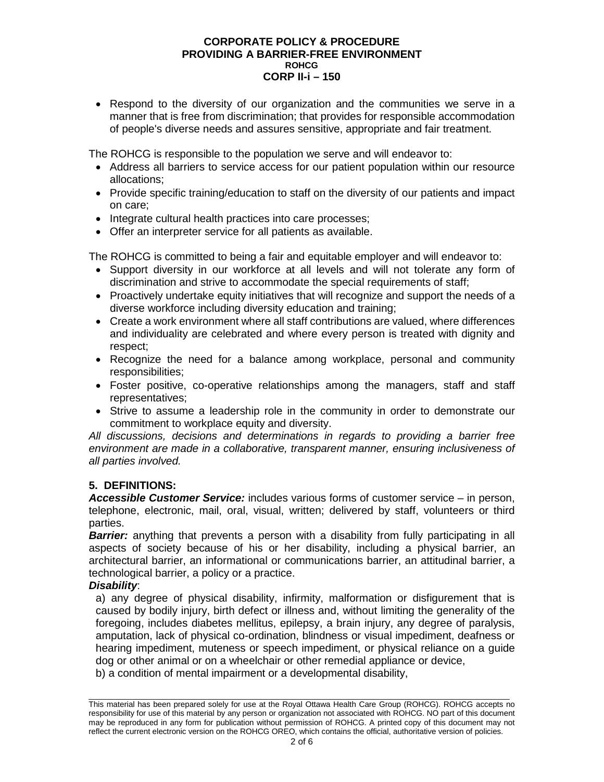• Respond to the diversity of our organization and the communities we serve in a manner that is free from discrimination; that provides for responsible accommodation of people's diverse needs and assures sensitive, appropriate and fair treatment.

The ROHCG is responsible to the population we serve and will endeavor to:

- Address all barriers to service access for our patient population within our resource allocations;
- Provide specific training/education to staff on the diversity of our patients and impact on care;
- Integrate cultural health practices into care processes;
- Offer an interpreter service for all patients as available.

The ROHCG is committed to being a fair and equitable employer and will endeavor to:

- Support diversity in our workforce at all levels and will not tolerate any form of discrimination and strive to accommodate the special requirements of staff;
- Proactively undertake equity initiatives that will recognize and support the needs of a diverse workforce including diversity education and training;
- Create a work environment where all staff contributions are valued, where differences and individuality are celebrated and where every person is treated with dignity and respect;
- Recognize the need for a balance among workplace, personal and community responsibilities;
- Foster positive, co-operative relationships among the managers, staff and staff representatives;
- Strive to assume a leadership role in the community in order to demonstrate our commitment to workplace equity and diversity.

*All discussions, decisions and determinations in regards to providing a barrier free environment are made in a collaborative, transparent manner, ensuring inclusiveness of all parties involved.*

## **5. DEFINITIONS:**

*Accessible Customer Service:* includes various forms of customer service – in person, telephone, electronic, mail, oral, visual, written; delivered by staff, volunteers or third parties.

**Barrier:** anything that prevents a person with a disability from fully participating in all aspects of society because of his or her disability, including a physical barrier, an architectural barrier, an informational or communications barrier, an attitudinal barrier, a technological barrier, a policy or a practice.

### *Disability*:

a) any degree of physical disability, infirmity, malformation or disfigurement that is caused by bodily injury, birth defect or illness and, without limiting the generality of the foregoing, includes diabetes mellitus, epilepsy, a brain injury, any degree of paralysis, amputation, lack of physical co-ordination, blindness or visual impediment, deafness or hearing impediment, muteness or speech impediment, or physical reliance on a guide dog or other animal or on a wheelchair or other remedial appliance or device,

b) a condition of mental impairment or a developmental disability,

\_\_\_\_\_\_\_\_\_\_\_\_\_\_\_\_\_\_\_\_\_\_\_\_\_\_\_\_\_\_\_\_\_\_\_\_\_\_\_\_\_\_\_\_\_\_\_\_\_\_\_\_\_\_\_\_\_\_\_\_\_\_\_\_\_\_\_\_\_\_\_\_\_\_\_\_\_\_\_\_\_\_\_\_\_\_\_\_\_\_\_\_\_\_\_\_ This material has been prepared solely for use at the Royal Ottawa Health Care Group (ROHCG). ROHCG accepts no responsibility for use of this material by any person or organization not associated with ROHCG. NO part of this document may be reproduced in any form for publication without permission of ROHCG. A printed copy of this document may not reflect the current electronic version on the ROHCG OREO, which contains the official, authoritative version of policies.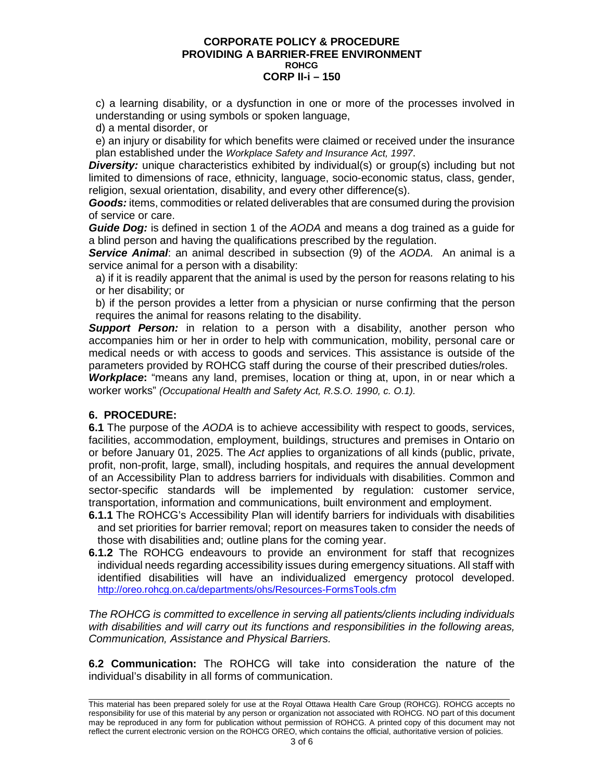c) a learning disability, or a dysfunction in one or more of the processes involved in understanding or using symbols or spoken language,

d) a mental disorder, or

e) an injury or disability for which benefits were claimed or received under the insurance plan established under the *Workplace Safety and Insurance Act, 1997*.

**Diversity:** unique characteristics exhibited by individual(s) or group(s) including but not limited to dimensions of race, ethnicity, language, socio-economic status, class, gender, religion, sexual orientation, disability, and every other difference(s).

*Goods:* items, commodities or related deliverables that are consumed during the provision of service or care.

*Guide Dog:* is defined in section 1 of the *AODA* and means a dog trained as a guide for a blind person and having the qualifications prescribed by the regulation.

*Service Animal*: an animal described in subsection (9) of the *AODA.* An animal is a service animal for a person with a disability:

a) if it is readily apparent that the animal is used by the person for reasons relating to his or her disability; or

b) if the person provides a letter from a physician or nurse confirming that the person requires the animal for reasons relating to the disability.

**Support Person:** in relation to a person with a disability, another person who accompanies him or her in order to help with communication, mobility, personal care or medical needs or with access to goods and services. This assistance is outside of the parameters provided by ROHCG staff during the course of their prescribed duties/roles.

**Workplace:** "means any land, premises, location or thing at, upon, in or near which a worker works" *(Occupational Health and Safety Act, R.S.O. 1990, c. O.1).* 

## **6. PROCEDURE:**

**6.1** The purpose of the *AODA* is to achieve accessibility with respect to goods, services, facilities, accommodation, employment, buildings, structures and premises in Ontario on or before January 01, 2025. The *Act* applies to organizations of all kinds (public, private, profit, non-profit, large, small), including hospitals, and requires the annual development of an Accessibility Plan to address barriers for individuals with disabilities. Common and sector-specific standards will be implemented by regulation: customer service, transportation, information and communications, built environment and employment.

- **6.1.1** The ROHCG's Accessibility Plan will identify barriers for individuals with disabilities and set priorities for barrier removal; report on measures taken to consider the needs of those with disabilities and; outline plans for the coming year.
- **6.1.2** The ROHCG endeavours to provide an environment for staff that recognizes individual needs regarding accessibility issues during emergency situations. All staff with identified disabilities will have an individualized emergency protocol developed. <http://oreo.rohcg.on.ca/departments/ohs/Resources-FormsTools.cfm>

*The ROHCG is committed to excellence in serving all patients/clients including individuals with disabilities and will carry out its functions and responsibilities in the following areas, Communication, Assistance and Physical Barriers.*

**6.2 Communication:** The ROHCG will take into consideration the nature of the individual's disability in all forms of communication.

\_\_\_\_\_\_\_\_\_\_\_\_\_\_\_\_\_\_\_\_\_\_\_\_\_\_\_\_\_\_\_\_\_\_\_\_\_\_\_\_\_\_\_\_\_\_\_\_\_\_\_\_\_\_\_\_\_\_\_\_\_\_\_\_\_\_\_\_\_\_\_\_\_\_\_\_\_\_\_\_\_\_\_\_\_\_\_\_\_\_\_\_\_\_\_\_

This material has been prepared solely for use at the Royal Ottawa Health Care Group (ROHCG). ROHCG accepts no responsibility for use of this material by any person or organization not associated with ROHCG. NO part of this document may be reproduced in any form for publication without permission of ROHCG. A printed copy of this document may not reflect the current electronic version on the ROHCG OREO, which contains the official, authoritative version of policies.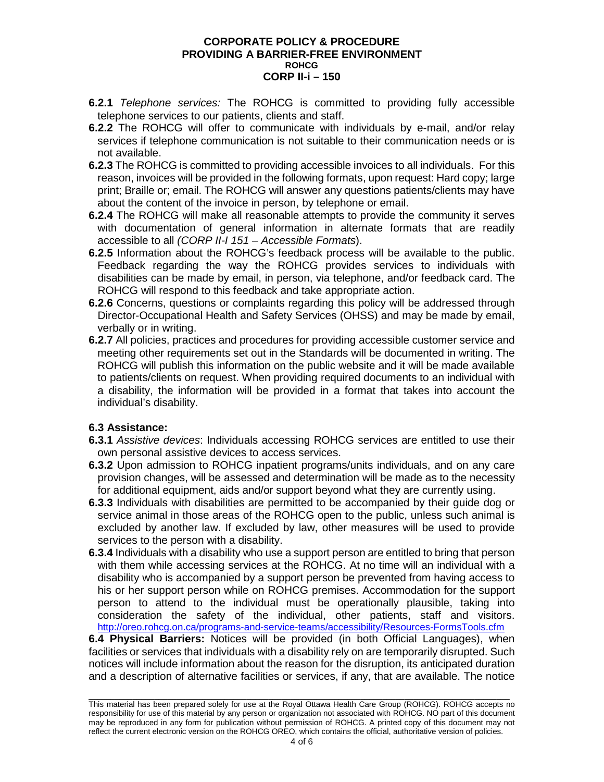- **6.2.1** *Telephone services:* The ROHCG is committed to providing fully accessible telephone services to our patients, clients and staff.
- **6.2.2** The ROHCG will offer to communicate with individuals by e-mail, and/or relay services if telephone communication is not suitable to their communication needs or is not available.
- **6.2.3** The ROHCG is committed to providing accessible invoices to all individuals. For this reason, invoices will be provided in the following formats, upon request: Hard copy; large print; Braille or; email. The ROHCG will answer any questions patients/clients may have about the content of the invoice in person, by telephone or email.
- **6.2.4** The ROHCG will make all reasonable attempts to provide the community it serves with documentation of general information in alternate formats that are readily accessible to all *(CORP II-I 151 – Accessible Formats*).
- **6.2.5** Information about the ROHCG's feedback process will be available to the public. Feedback regarding the way the ROHCG provides services to individuals with disabilities can be made by email, in person, via telephone, and/or feedback card. The ROHCG will respond to this feedback and take appropriate action.
- **6.2.6** Concerns, questions or complaints regarding this policy will be addressed through Director-Occupational Health and Safety Services (OHSS) and may be made by email, verbally or in writing.
- **6.2.7** All policies, practices and procedures for providing accessible customer service and meeting other requirements set out in the Standards will be documented in writing. The ROHCG will publish this information on the public website and it will be made available to patients/clients on request. When providing required documents to an individual with a disability, the information will be provided in a format that takes into account the individual's disability.

## **6.3 Assistance:**

- **6.3.1** *Assistive devices*: Individuals accessing ROHCG services are entitled to use their own personal assistive devices to access services.
- **6.3.2** Upon admission to ROHCG inpatient programs/units individuals, and on any care provision changes, will be assessed and determination will be made as to the necessity for additional equipment, aids and/or support beyond what they are currently using.
- **6.3.3** Individuals with disabilities are permitted to be accompanied by their guide dog or service animal in those areas of the ROHCG open to the public, unless such animal is excluded by another law. If excluded by law, other measures will be used to provide services to the person with a disability.
- **6.3.4** Individuals with a disability who use a support person are entitled to bring that person with them while accessing services at the ROHCG. At no time will an individual with a disability who is accompanied by a support person be prevented from having access to his or her support person while on ROHCG premises. Accommodation for the support person to attend to the individual must be operationally plausible, taking into consideration the safety of the individual, other patients, staff and visitors. <http://oreo.rohcg.on.ca/programs-and-service-teams/accessibility/Resources-FormsTools.cfm>

**6.4 Physical Barriers:** Notices will be provided (in both Official Languages), when facilities or services that individuals with a disability rely on are temporarily disrupted. Such notices will include information about the reason for the disruption, its anticipated duration and a description of alternative facilities or services, if any, that are available. The notice

\_\_\_\_\_\_\_\_\_\_\_\_\_\_\_\_\_\_\_\_\_\_\_\_\_\_\_\_\_\_\_\_\_\_\_\_\_\_\_\_\_\_\_\_\_\_\_\_\_\_\_\_\_\_\_\_\_\_\_\_\_\_\_\_\_\_\_\_\_\_\_\_\_\_\_\_\_\_\_\_\_\_\_\_\_\_\_\_\_\_\_\_\_\_\_\_ This material has been prepared solely for use at the Royal Ottawa Health Care Group (ROHCG). ROHCG accepts no responsibility for use of this material by any person or organization not associated with ROHCG. NO part of this document may be reproduced in any form for publication without permission of ROHCG. A printed copy of this document may not reflect the current electronic version on the ROHCG OREO, which contains the official, authoritative version of policies.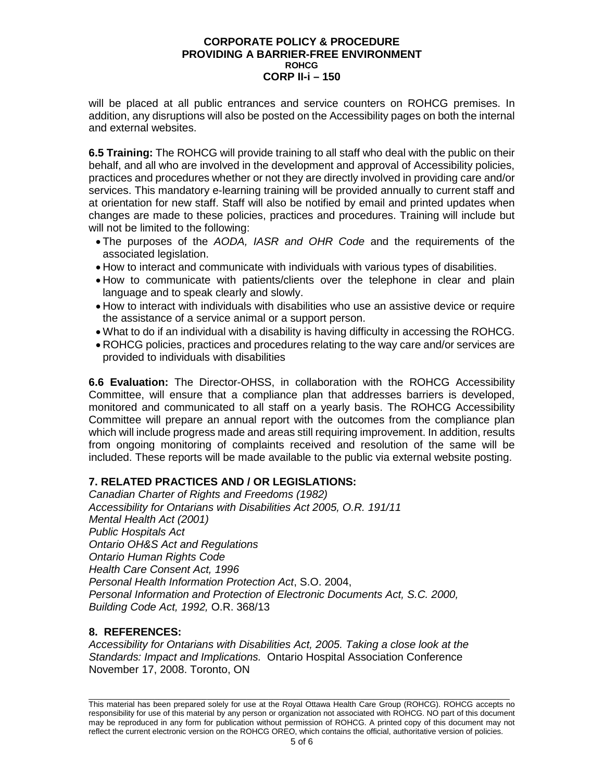will be placed at all public entrances and service counters on ROHCG premises. In addition, any disruptions will also be posted on the Accessibility pages on both the internal and external websites.

**6.5 Training:** The ROHCG will provide training to all staff who deal with the public on their behalf, and all who are involved in the development and approval of Accessibility policies, practices and procedures whether or not they are directly involved in providing care and/or services. This mandatory e-learning training will be provided annually to current staff and at orientation for new staff. Staff will also be notified by email and printed updates when changes are made to these policies, practices and procedures. Training will include but will not be limited to the following:

- The purposes of the *AODA, IASR and OHR Code* and the requirements of the associated legislation.
- How to interact and communicate with individuals with various types of disabilities.
- How to communicate with patients/clients over the telephone in clear and plain language and to speak clearly and slowly.
- How to interact with individuals with disabilities who use an assistive device or require the assistance of a service animal or a support person.
- What to do if an individual with a disability is having difficulty in accessing the ROHCG.
- ROHCG policies, practices and procedures relating to the way care and/or services are provided to individuals with disabilities

**6.6 Evaluation:** The Director-OHSS, in collaboration with the ROHCG Accessibility Committee, will ensure that a compliance plan that addresses barriers is developed, monitored and communicated to all staff on a yearly basis. The ROHCG Accessibility Committee will prepare an annual report with the outcomes from the compliance plan which will include progress made and areas still requiring improvement. In addition, results from ongoing monitoring of complaints received and resolution of the same will be included. These reports will be made available to the public via external website posting.

# **7. RELATED PRACTICES AND / OR LEGISLATIONS:**

*Canadian Charter of Rights and Freedoms (1982) Accessibility for Ontarians with Disabilities Act 2005, O.R. 191/11 Mental Health Act (2001) Public Hospitals Act Ontario OH&S Act and Regulations Ontario Human Rights Code Health Care Consent Act, 1996 Personal Health Information Protection Act*, S.O. 2004, *Personal Information and Protection of Electronic Documents Act, S.C. 2000, Building Code Act, 1992,* O.R. 368/13

## **8. REFERENCES:**

*Accessibility for Ontarians with Disabilities Act, 2005. Taking a close look at the Standards: Impact and Implications.* Ontario Hospital Association Conference November 17, 2008. Toronto, ON

\_\_\_\_\_\_\_\_\_\_\_\_\_\_\_\_\_\_\_\_\_\_\_\_\_\_\_\_\_\_\_\_\_\_\_\_\_\_\_\_\_\_\_\_\_\_\_\_\_\_\_\_\_\_\_\_\_\_\_\_\_\_\_\_\_\_\_\_\_\_\_\_\_\_\_\_\_\_\_\_\_\_\_\_\_\_\_\_\_\_\_\_\_\_\_\_ This material has been prepared solely for use at the Royal Ottawa Health Care Group (ROHCG). ROHCG accepts no responsibility for use of this material by any person or organization not associated with ROHCG. NO part of this document may be reproduced in any form for publication without permission of ROHCG. A printed copy of this document may not reflect the current electronic version on the ROHCG OREO, which contains the official, authoritative version of policies.